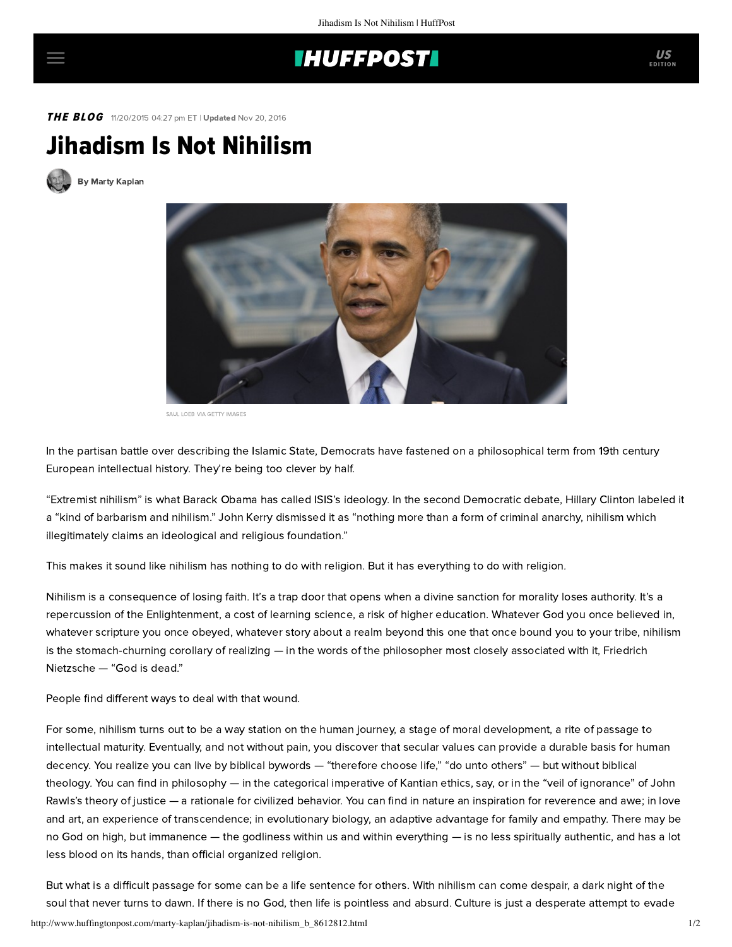## **THUFFPOST**

**THE BLOG** 11/20/2015 04:27 pm ET | Updated Nov 20, 2016

## Jihadism Is Not Nihilism

[By Marty Kaplan](http://www.huffingtonpost.com/author/marty-kaplan)



SAUL LOEB VIA GETTY IMAGES

In the partisan battle over describing the Islamic State, Democrats have fastened on a philosophical term from 19th century European intellectual history. They're being too clever by half.

"Extremist nihilism" is what Barack Obama has [called](http://www.heraldscotland.com/news/13178582.Obama__The_West_will_defeat__extremist_nihilism__of_the_Islamic_State_terrorists/) ISIS's ideology. In the second Democratic debate, Hillary Clinton [labeled](http://www.cbsnews.com/news/democratic-debate-transcript-clinton-sanders-omalley-in-iowa/) it a "kind of barbarism and nihilism." John Kerry [dismissed](https://agenda.weforum.org/2015/01/11-quotes-from-john-kerry-at-davos-2015/) it as "nothing more than a form of criminal anarchy, nihilism which illegitimately claims an ideological and religious foundation."

This makes it sound like nihilism has nothing to do with religion. But it has everything to do with religion.

Nihilism is a consequence of losing faith. It's a trap door that opens when a divine sanction for morality loses authority. It's a repercussion of the Enlightenment, a cost of learning science, a risk of higher education. Whatever God you once believed in, whatever scripture you once obeyed, whatever story about a realm beyond this one that once bound you to your tribe, nihilism is the stomach-churning corollary of realizing — in the words of the philosopher most closely associated with it, Friedrich Nietzsche — "God is dead."

People find different ways to deal with that wound.

For some, nihilism turns out to be a way station on the human journey, a stage of moral development, a rite of passage to intellectual maturity. Eventually, and not without pain, you discover that secular values can provide a durable basis for human decency. You realize you can live by biblical bywords — "therefore choose life," "do unto others" — but without biblical theology. You can find in philosophy — in the categorical imperative of Kantian ethics, say, or in the "veil of ignorance" of John Rawls's theory of justice — a rationale for civilized behavior. You can find in nature an inspiration for reverence and awe; in love and art, an experience of transcendence; in evolutionary biology, an adaptive advantage for family and empathy. There may be no God on high, but immanence — the godliness within us and within everything — is no less spiritually authentic, and has a lot less blood on its hands, than official organized religion.

But what is a difficult passage for some can be a life sentence for others. With nihilism can come despair, a dark night of the soul that never turns to dawn. If there is no God, then life is pointless and absurd. Culture is just a desperate attempt to evade